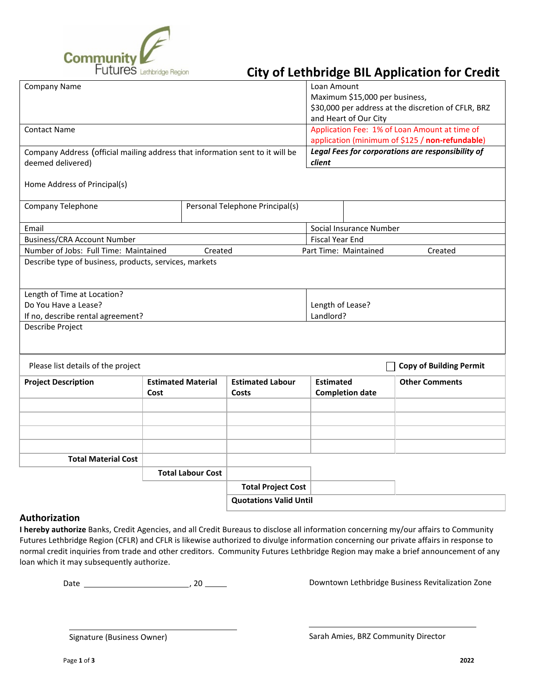

## Futures Lethbridge Region **City of Lethbridge BIL Application for Credit**

| <b>Company Name</b>                                                           |                           |         |                               | Loan Amount                                         |                        |                                               |
|-------------------------------------------------------------------------------|---------------------------|---------|-------------------------------|-----------------------------------------------------|------------------------|-----------------------------------------------|
|                                                                               |                           |         |                               | Maximum \$15,000 per business,                      |                        |                                               |
|                                                                               |                           |         |                               | \$30,000 per address at the discretion of CFLR, BRZ |                        |                                               |
|                                                                               |                           |         |                               | and Heart of Our City                               |                        |                                               |
| <b>Contact Name</b>                                                           |                           |         |                               |                                                     |                        | Application Fee: 1% of Loan Amount at time of |
|                                                                               |                           |         |                               | application (minimum of \$125 / non-refundable)     |                        |                                               |
| Company Address (official mailing address that information sent to it will be |                           |         |                               | Legal Fees for corporations are responsibility of   |                        |                                               |
| deemed delivered)                                                             |                           |         |                               | client                                              |                        |                                               |
| Home Address of Principal(s)                                                  |                           |         |                               |                                                     |                        |                                               |
|                                                                               |                           |         |                               |                                                     |                        |                                               |
| Company Telephone<br>Personal Telephone Principal(s)                          |                           |         |                               |                                                     |                        |                                               |
|                                                                               |                           |         |                               |                                                     |                        |                                               |
| Email                                                                         |                           |         |                               | Social Insurance Number                             |                        |                                               |
| <b>Business/CRA Account Number</b>                                            |                           |         |                               | <b>Fiscal Year End</b>                              |                        |                                               |
| Number of Jobs: Full Time: Maintained                                         |                           | Created |                               | Part Time: Maintained<br>Created                    |                        |                                               |
| Describe type of business, products, services, markets                        |                           |         |                               |                                                     |                        |                                               |
|                                                                               |                           |         |                               |                                                     |                        |                                               |
|                                                                               |                           |         |                               |                                                     |                        |                                               |
| Length of Time at Location?                                                   |                           |         |                               |                                                     |                        |                                               |
| Do You Have a Lease?                                                          |                           |         |                               | Length of Lease?                                    |                        |                                               |
| Landlord?<br>If no, describe rental agreement?                                |                           |         |                               |                                                     |                        |                                               |
| Describe Project                                                              |                           |         |                               |                                                     |                        |                                               |
|                                                                               |                           |         |                               |                                                     |                        |                                               |
|                                                                               |                           |         |                               |                                                     |                        |                                               |
| Please list details of the project                                            |                           |         |                               |                                                     |                        | <b>Copy of Building Permit</b>                |
| <b>Project Description</b>                                                    | <b>Estimated Material</b> |         | <b>Estimated Labour</b>       | <b>Estimated</b>                                    |                        | <b>Other Comments</b>                         |
|                                                                               | Cost                      | Costs   |                               |                                                     | <b>Completion date</b> |                                               |
|                                                                               |                           |         |                               |                                                     |                        |                                               |
|                                                                               |                           |         |                               |                                                     |                        |                                               |
|                                                                               |                           |         |                               |                                                     |                        |                                               |
|                                                                               |                           |         |                               |                                                     |                        |                                               |
|                                                                               |                           |         |                               |                                                     |                        |                                               |
| <b>Total Material Cost</b>                                                    |                           |         |                               |                                                     |                        |                                               |
|                                                                               | <b>Total Labour Cost</b>  |         |                               |                                                     |                        |                                               |
|                                                                               |                           |         | <b>Total Project Cost</b>     |                                                     |                        |                                               |
|                                                                               |                           |         | <b>Quotations Valid Until</b> |                                                     |                        |                                               |
|                                                                               |                           |         |                               |                                                     |                        |                                               |

## **Authorization**

**I hereby authorize** Banks, Credit Agencies, and all Credit Bureaus to disclose all information concerning my/our affairs to Community Futures Lethbridge Region (CFLR) and CFLR is likewise authorized to divulge information concerning our private affairs in response to normal credit inquiries from trade and other creditors. Community Futures Lethbridge Region may make a brief announcement of any loan which it may subsequently authorize.

Date , 20

Downtown Lethbridge Business Revitalization Zone

Signature (Business Owner)

Sarah Amies, BRZ Community Director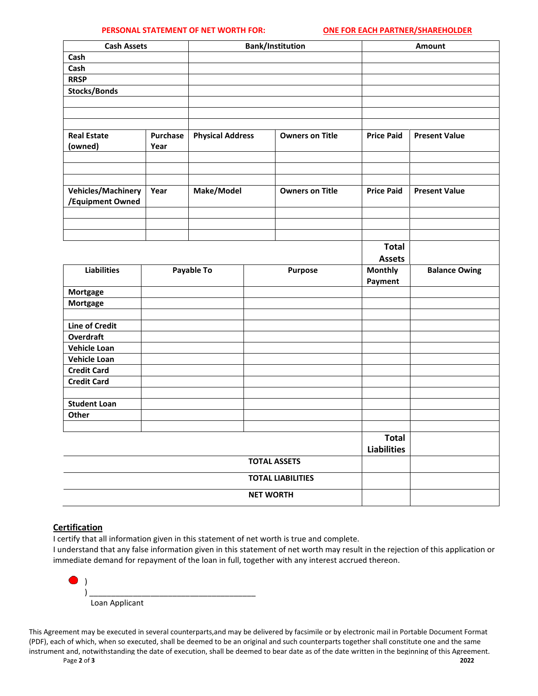## **PERSONAL STATEMENT OF NET WORTH FOR: ONE FOR EACH PARTNER/SHAREHOLDER**

| <b>Cash Assets</b>        |          | <b>Bank/Institution</b> |                        |                        |                   | Amount               |  |
|---------------------------|----------|-------------------------|------------------------|------------------------|-------------------|----------------------|--|
| Cash                      |          |                         |                        |                        |                   |                      |  |
| Cash                      |          |                         |                        |                        |                   |                      |  |
| <b>RRSP</b>               |          |                         |                        |                        |                   |                      |  |
| <b>Stocks/Bonds</b>       |          |                         |                        |                        |                   |                      |  |
|                           |          |                         |                        |                        |                   |                      |  |
|                           |          |                         |                        |                        |                   |                      |  |
|                           |          |                         |                        |                        |                   |                      |  |
| <b>Real Estate</b>        | Purchase | <b>Physical Address</b> | <b>Owners on Title</b> |                        | <b>Price Paid</b> | <b>Present Value</b> |  |
| (owned)                   | Year     |                         |                        |                        |                   |                      |  |
|                           |          |                         |                        |                        |                   |                      |  |
|                           |          |                         |                        |                        |                   |                      |  |
| <b>Vehicles/Machinery</b> | Year     | Make/Model              |                        | <b>Owners on Title</b> | <b>Price Paid</b> | <b>Present Value</b> |  |
| /Equipment Owned          |          |                         |                        |                        |                   |                      |  |
|                           |          |                         |                        |                        |                   |                      |  |
|                           |          |                         |                        |                        |                   |                      |  |
|                           |          |                         |                        |                        |                   |                      |  |
|                           |          |                         |                        |                        | <b>Total</b>      |                      |  |
|                           |          |                         |                        |                        | <b>Assets</b>     |                      |  |
| <b>Liabilities</b>        |          | Payable To              |                        | Purpose                | Monthly           | <b>Balance Owing</b> |  |
|                           |          |                         |                        |                        | Payment           |                      |  |
| Mortgage                  |          |                         |                        |                        |                   |                      |  |
| Mortgage                  |          |                         |                        |                        |                   |                      |  |
|                           |          |                         |                        |                        |                   |                      |  |
| <b>Line of Credit</b>     |          |                         |                        |                        |                   |                      |  |
| <b>Overdraft</b>          |          |                         |                        |                        |                   |                      |  |
| <b>Vehicle Loan</b>       |          |                         |                        |                        |                   |                      |  |
| <b>Vehicle Loan</b>       |          |                         |                        |                        |                   |                      |  |
| <b>Credit Card</b>        |          |                         |                        |                        |                   |                      |  |
| <b>Credit Card</b>        |          |                         |                        |                        |                   |                      |  |
|                           |          |                         |                        |                        |                   |                      |  |
| <b>Student Loan</b>       |          |                         |                        |                        |                   |                      |  |
| Other                     |          |                         |                        |                        |                   |                      |  |
|                           |          |                         |                        |                        |                   |                      |  |
|                           |          |                         |                        |                        | <b>Total</b>      |                      |  |
|                           |          |                         |                        | <b>Liabilities</b>     |                   |                      |  |
| <b>TOTAL ASSETS</b>       |          |                         |                        |                        |                   |                      |  |
| <b>TOTAL LIABILITIES</b>  |          |                         |                        |                        |                   |                      |  |
|                           |          |                         |                        | <b>NET WORTH</b>       |                   |                      |  |

## **Certification**

I certify that all information given in this statement of net worth is true and complete.

I understand that any false information given in this statement of net worth may result in the rejection of this application or immediate demand for repayment of the loan in full, together with any interest accrued thereon.

| O |                |  |  |
|---|----------------|--|--|
|   |                |  |  |
|   | Loan Applicant |  |  |

This Agreement may be executed in several counterparts,and may be delivered by facsimile or by electronic mail in Portable Document Format (PDF), each of which, when so executed, shall be deemed to be an original and such counterparts together shall constitute one and the same instrument and, notwithstanding the date of execution, shall be deemed to bear date as of the date written in the beginning of this Agreement.